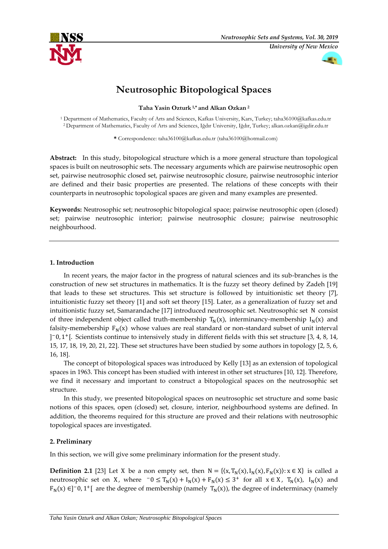



# **Neutrosophic Bitopological Spaces**

**Taha Yasin Ozturk 1,\* and Alkan Ozkan <sup>2</sup>**

<sup>1</sup> Department of Mathematics, Faculty of Arts and Sciences, Kafkas University, Kars, Turkey; taha36100@kafkas.edu.tr <sup>2</sup> Department of Mathematics, Faculty of Arts and Sciences, Iğdır University, Iğdır, Turkey; alkan.ozkan@igdir.edu.tr

**\*** Correspondence: taha36100@kafkas.edu.tr (taha36100@hotmail.com)

**Abstract:** In this study, bitopological structure which is a more general structure than topological spaces is built on neutrosophic sets. The necessary arguments which are pairwise neutrosophic open set, pairwise neutrosophic closed set, pairwise neutrosophic closure, pairwise neutrosophic interior are defined and their basic properties are presented. The relations of these concepts with their counterparts in neutrosophic topological spaces are given and many examples are presented.

**Keywords:** Neutrosophic set; neutrosophic bitopological space; pairwise neutrosophic open (closed) set; pairwise neutrosophic interior; pairwise neutrosophic closure; pairwise neutrosophic neighbourhood.

## **1. Introduction**

In recent years, the major factor in the progress of natural sciences and its sub-branches is the construction of new set structures in mathematics. It is the fuzzy set theory defined by Zadeh [19] that leads to these set structures. This set structure is followed by intuitionistic set theory [7], intuitionistic fuzzy set theory [1] and soft set theory [15]. Later, as a generalization of fuzzy set and intuitionistic fuzzy set, Samarandache [17] introduced neutrosophic set. Neutrosophic set N consist of three independent object called truth-membership  $T_N(x)$ , interminancy-membership  $I_N(x)$  and falsity-memebership  $F_N(x)$  whose values are real standard or non-standard subset of unit interval ] <sup>−</sup>0, 1 <sup>+</sup>[. Scientists continue to intensively study in different fields with this set structure [3, 4, 8, 14, 15, 17, 18, 19, 20, 21, 22]. These set structures have been studied by some authors in topology [2, 5, 6, 16, 18].

The concept of bitopological spaces was introduced by Kelly [13] as an extension of topological spaces in 1963. This concept has been studied with interest in other set structures [10, 12]. Therefore, we find it necessary and important to construct a bitopological spaces on the neutrosophic set structure.

In this study, we presented bitopological spaces on neutrosophic set structure and some basic notions of this spaces, open (closed) set, closure, interior, neighbourhood systems are defined. In addition, the theorems required for this structure are proved and their relations with neutrosophic topological spaces are investigated.

# **2. Preliminary**

In this section, we will give some preliminary information for the present study.

**Definition 2.1** [23] Let X be a non empty set, then  $N = \{(x, T_N(x), I_N(x), F_N(x)) : x \in X\}$  is called a neutrosophic set on X, where  $-0 \leq T_N(x) + I_N(x) + F_N(x) \leq 3^+$  for all  $x \in X$ ,  $T_N(x)$ ,  $I_N(x)$  and  $F_N(x) \in ]-0,1^+[$  are the degree of membership (namely  $T_N(x)$ ), the degree of indeterminacy (namely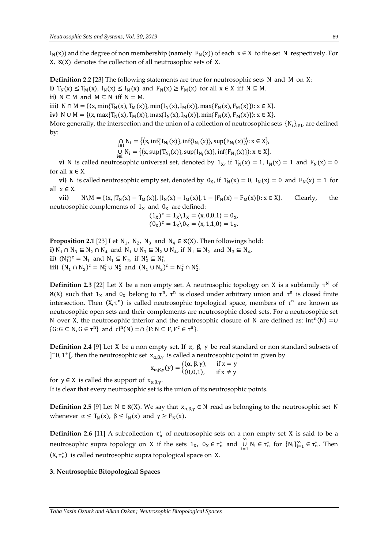$I_N(x)$ ) and the degree of non membership (namely  $F_N(x)$ ) of each  $x \in X$  to the set N respectively. For  $X$ ,  $\aleph(X)$  denotes the collection of all neutrosophic sets of X.

**Definition 2.2** [23] The following statements are true for neutrosophic sets N and M on X: **i)**  $T_N(x) \le T_M(x)$ ,  $I_N(x) \le I_M(x)$  and  $F_N(x) \ge F_M(x)$  for all  $x \in X$  iff  $N \subseteq M$ . **ii)**  $N \subseteq M$  and  $M \subseteq N$  iff  $N = M$ .

**iii)** N ∩ M = { $(x, min{T_N(x), T_M(x)}$ , min{I<sub>N</sub>(x), I<sub>M</sub>(x)}, max{F<sub>N</sub>(x), F<sub>M</sub>(x)}): x ∈ X}.

**iv)** N ∪ M = { $(x, max{T_N(x), T_M(x)}$ , max{I<sub>N</sub>(x), I<sub>M</sub>(x)}, min{F<sub>N</sub>(x), F<sub>M</sub>(x)}): x ∈ X}.

More generally, the intersection and the union of a collection of neutrosophic sets  $\{N_i\}_{i\in I}$ , are defined by:

$$
\bigcap_{i \in I} N_i = \{ \langle x, \inf \{ T_{N_i}(x) \}, \inf \{ I_{N_i}(x) \}, \sup \{ F_{N_i}(x) \} \rangle : x \in X \},
$$
  
\n
$$
\bigcup_{i \in I} N_i = \{ \langle x, \sup \{ T_{N_i}(x) \}, \sup \{ I_{N_i}(x) \}, \inf \{ F_{N_i}(x) \} \rangle : x \in X \}.
$$

**v**) N is called neutrosophic universal set, denoted by  $1_x$ , if  $T_N(x) = 1$ ,  $I_N(x) = 1$  and  $F_N(x) = 0$ for all  $x \in X$ .

**vi)** N is called neutrosophic empty set, denoted by  $0_X$ , if  $T_N(x) = 0$ ,  $I_N(x) = 0$  and  $F_N(x) = 1$  for all  $x \in X$ .

**vii)** N\M = { $\langle x, |T_N(x) - T_M(x)|, |I_N(x) - I_M(x)|, 1 - |F_N(x) - F_M(x)| \rangle: x \in X$ . Clearly, the neutrosophic complements of  $1_X$  and  $0_X$  are defined:

$$
(1_X)^c = 1_X \setminus 1_X = \langle x, 0, 0, 1 \rangle = 0_X, (0_X)^c = 1_X \setminus 0_X = \langle x, 1, 1, 0 \rangle = 1_X.
$$

**Proposition 2.1** [23] Let  $N_1$ ,  $N_2$ ,  $N_3$  and  $N_4 \in \mathfrak{X}(X)$ . Then followings hold: **i**)  $N_1 \cap N_3 \subseteq N_2 \cap N_4$  and  $N_1 \cup N_3 \subseteq N_2 \cup N_4$ , if  $N_1 \subseteq N_2$  and  $N_3 \subseteq N_4$ , **ii)**  $(N_1^c)^c = N_1$  and  $N_1 \subseteq N_2$ , if  $N_2^c \subseteq N_1^c$ , **iii)**  $(N_1 \cap N_2)^c = N_1^c \cup N_2^c$  and  $(N_1 \cup N_2)^c = N_1^c \cap N_2^c$ .

**Definition 2.3** [22] Let X be a non empty set. A neutrosophic topology on X is a subfamily  $\tau^N$  of  $\aleph(X)$  such that  $1_X$  and  $0_X$  belong to  $\tau^n$ ,  $\tau^n$  is closed under arbitrary union and  $\tau^n$  is closed finite intersection. Then  $(X, \tau^n)$  is called neutrosophic topological space, members of  $\tau^n$  are known as neutrosophic open sets and their complements are neutrosophic closed sets. For a neutrosophic set N over X, the neutrosophic interior and the neutrosophic closure of N are defined as:  $int<sup>n</sup>(N) = ∪$  $\{G: G \subseteq N, G \in \tau^n\}$  and  $cl^n(N) = \cap \{F: N \subseteq F, F^c \in \tau^n\}.$ 

**Definition 2.4** [9] Let X be a non empty set. If  $\alpha$ ,  $\beta$ ,  $\gamma$  be real standard or non standard subsets of ]<sup>-</sup>0, 1<sup>+</sup>[, then the neutrosophic set  $x_{\alpha,\beta,\gamma}$  is called a neutrosophic point in given by

$$
x_{\alpha,\beta,\gamma}(y) = \begin{cases} (\alpha,\beta,\gamma), & \text{if } x = y \\ (0,0,1), & \text{if } x \neq y \end{cases}
$$

for  $y \in X$  is called the support of  $x_{\alpha,\beta,\gamma}$ .

It is clear that every neutrosophic set is the union of its neutrosophic points.

**Definition 2.5** [9] Let  $N \in \mathcal{X}(X)$ . We say that  $x_{\alpha, \beta, \gamma} \in N$  read as belonging to the neutrosophic set N whenever  $\alpha \leq T_N(x)$ ,  $\beta \leq I_N(x)$  and  $\gamma \geq F_N(x)$ .

**Definition 2.6** [11] A subcollection  $\tau_n^*$  of neutrosophic sets on a non empty set X is said to be a neutrosophic supra topology on X if the sets  $1_x$ ,  $0_x \in \tau_n^*$  and  $\bigcup_{k=1}^{\infty}$  $\bigcup_{i=1}^{\infty} N_i \in \tau_n^*$  for  $\{N_i\}_{i=1}^{\infty} \in \tau_n^*$ . Then  $(X, \tau_n^*)$  is called neutrosophic supra topological space on X.

### **3. Neutrosophic Bitopological Spaces**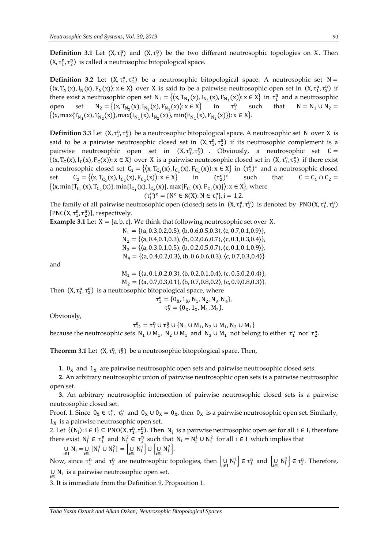**Definition 3.1** Let  $(X, \tau_1^n)$  and  $(X, \tau_2^n)$  be the two different neutrosophic topologies on X. Then  $(X, \tau_1^n, \tau_2^n)$  is called a neutrosophic bitopological space.

**Definition 3.2** Let  $(X, \tau_1^n, \tau_2^n)$  be a neutrosophic bitopological space. A neutrosophic set  $N =$  $\{(x, T_N(x), I_N(x), F_N(x)) : x \in X\}$  over X is said to be a pairwise neutrosophic open set in  $(X, \tau_1^n, \tau_2^n)$  if there exist a neutrosophic open set  $N_1 = \{(x, T_{N_1}(x), I_{N_1}(x), F_{N_1}(x)): x \in X\}$  in  $\tau_1^n$  and a neutrosophic open set  $N_2 = \{(x, T_{N_2}(x), I_{N_2}(x), F_{N_2}(x)) : x \in X\}$  in  $\tau_2^n$  $\tau_2^n$ such that  $N = N_1 \cup N_2 =$  $\{\langle x, \max\{T_{N_1}(x), T_{N_2}(x)\}, \max\{I_{N_1}(x), I_{N_2}(x)\}, \min\{F_{N_1}(x), F_{N_2}(x)\}\rangle: x \in X\}.$ 

**Definition 3.3** Let (X, τ<sup>n</sup>, τ<sup>n</sup>) be a neutrosophic bitopological space. A neutrosophic set N over X is said to be a pairwise neutrosophic closed set in  $(X, \tau_1^n, \tau_2^n)$  if its neutrosophic complement is a pairwise neutrosophic open set in  $(X, \tau_1^n, \tau_2^n)$  . Obviously, a neutrosophic set  $C =$  $\{(x, T_C(x), I_C(x), F_C(x)) : x \in X\}$  over X is a pairwise neutrosophic closed set in  $(X, \tau_1^n, \tau_2^n)$  if there exist a neutrosophic closed set  $C_1 = \{(x, T_{C_1}(x), I_{C_1}(x), F_{C_1}(x)): x \in X\}$  in  $(\tau_1^n)^c$  and a neutrosophic closed set  $C_2 = \{(x, T_{C_2}(x), I_{C_2}(x), F_{C_2}(x)) : x \in X\}$  in  $(\tau_2^n)$  $\binom{n}{2}$ c such that  $C = C_1 \cap C_2 =$  $\{\langle x, \min\{T_{C_1}(x), T_{C_2}(x)\}, \min\{I_{C_1}(x), I_{C_2}(x)\}, \max\{F_{C_1}(x), F_{C_2}(x)\}\rangle: x \in X\}$ , where

 $(\tau_i^n)^c = \{ N^c \in \mathfrak{K}(X) : N \in \tau_i^n \}, i = 1, 2.$ 

The family of all pairwise neutrosophic open (closed) sets in  $(X, \tau_1^n, \tau_2^n)$  is denoted by PNO(X,  $\tau_1^n, \tau_2^n$ )  $[PNC(X, \tau_1^n, \tau_2^n)]$ , respectively.

**Example 3.1** Let  $X = \{a, b, c\}$ . We think that following neutrosophic set over X.

 $N_1 = \{(a, 0.3, 0.2, 0.5), (b, 0.6, 0.5, 0.3), (c, 0.7, 0.1, 0.9)\},\$  $N_2 = \{(a, 0.4, 0.1, 0.3), (b, 0.2, 0.6, 0.7), (c, 0.1, 0.3, 0.4)\},\$  $N_3 = \{(a, 0.3, 0.1, 0.5), (b, 0.2, 0.5, 0.7), (c, 0.1, 0.1, 0.9)\},\$  $N_4 = \{(a, 0.4, 0.2, 0.3), (b, 0.6, 0.6, 0.3), (c, 0.7, 0.3, 0.4)\}\$ 

and

$$
M_1 = \{ \langle a, 0.1, 0.2, 0.3 \rangle, \langle b, 0.2, 0.1, 0.4 \rangle, \langle c, 0.5, 0.2, 0.4 \rangle \},
$$

 $M_2 = \{(a, 0.7, 0.3, 0.1), (b, 0.7, 0.8, 0.2), (c, 0.9, 0.8, 0.3)\}.$ 

Then  $(X, \tau_1^n, \tau_2^n)$  is a neutrosophic bitopological space, where

$$
\tau_1^n = \{0_X, 1_X, N_1, N_2, N_3, N_4\},
$$
  

$$
\tau_2^n = \{0_X, 1_X, M_1, M_2\}.
$$

Obviously,

 $\tau_{12}^n = \tau_1^n \cup \tau_2^n \cup \{N_1 \cup M_1, N_2 \cup M_1, N_3 \cup M_1\}$ 

because the neutrosophic sets  $N_1 \cup M_1$ ,  $N_2 \cup M_1$  and  $N_3 \cup M_1$  not belong to either  $\tau_1^n$  nor  $\tau_2^n$ .

**Theorem 3.1** Let  $(X, \tau_1^n, \tau_2^n)$  be a neutrosophic bitopological space. Then,

**1.**  $0<sub>X</sub>$  and  $1<sub>X</sub>$  are pairwise neutrosophic open sets and pairwise neutrosophic closed sets.

 **2.** An arbitrary neutrosophic union of pairwise neutrosophic open sets is a pairwise neutrosophic open set.

 **3.** An arbitrary neutrosophic intersection of pairwise neutrosophic closed sets is a pairwise neutrosophic closed set.

Proof. 1. Since  $0_X \in \tau_1^n$ ,  $\tau_2^n$  and  $0_X \cup 0_X = 0_X$ , then  $0_X$  is a pairwise neutrosophic open set. Similarly,  $1<sub>X</sub>$  is a pairwise neutrosophic open set.

2. Let  $\{(N_i): i \in I\} \subseteq \text{PNO}(X, \tau_1^n, \tau_2^n)$ . Then  $N_i$  is a pairwise neutrosophic open set for all  $i \in I$ , therefore there exist  $N_i^1 \in \tau_1^n$  and  $N_i^2 \in \tau_2^n$  such that  $N_i = N_i^1 \cup N_i^2$  for all  $i \in I$  which implies that

$$
\bigcup_{i \in I} N_i = \bigcup_{i \in I} \left[ N_i^1 \cup N_i^2 \right] = \left[ \bigcup_{i \in I} N_i^1 \right] \cup \left[ \bigcup_{i \in I} N_i^2 \right].
$$

Now, since  $\tau_1^n$  and  $\tau_2^n$  are neutrosophic topologies, then  $\bigcup_{i \in I} N_i^1 \big] \in \tau_1^n$  and  $\bigcup_{i \in I} N_i^2 \big] \in \tau_2^n$ . Therefore, ∪  $N_i$  is a pairwise neutrosophic open set.

3. It is immediate from the Definition 9, Proposition 1.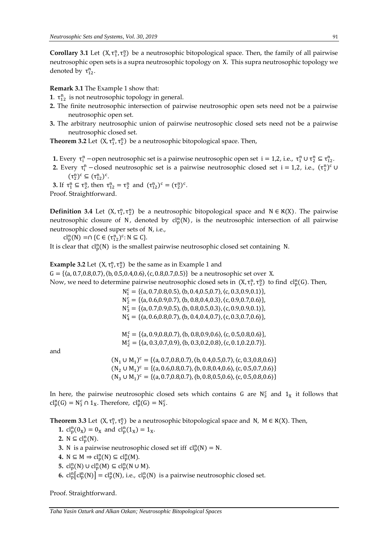**Corollary 3.1** Let  $(X, \tau_1^n, \tau_2^n)$  be a neutrosophic bitopological space. Then, the family of all pairwise neutrosophic open sets is a supra neutrosophic topology on X. This supra neutrosophic topology we denoted by  $\tau_{12}^n$ .

**Remark 3.1** The Example 1 show that:

- **1**.  $\tau_{12}^n$  is not neutrosophic topology in general.
- **2.** The finite neutrosophic intersection of pairwise neutrosophic open sets need not be a pairwise neutrosophic open set.
- **3.** The arbitrary neutrosophic union of pairwise neutrosophic closed sets need not be a pairwise neutrosophic closed set.

**Theorem 3.2** Let  $(X, \tau_1^n, \tau_2^n)$  be a neutrosophic bitopological space. Then,

- **1.** Every  $\tau_i^n$  –open neutrosophic set is a pairwise neutrosophic open set  $i = 1, 2, i.e., \tau_1^n \cup \tau_2^n \subseteq \tau_{12}^n$ .
- **2.** Every  $\tau_i^n$  closed neutrosophic set is a pairwise neutrosophic closed set i = 1,2, i.e.,  $(\tau_i^n)^c$   $\cup$  $(\tau_2^n)^c \subseteq (\tau_{12}^n)^c$ .

**3.** If  $\tau_1^n \subseteq \tau_2^n$ , then  $\tau_{12}^n = \tau_2^n$  and  $(\tau_{12}^n)^c = (\tau_2^n)^c$ . Proof. Straightforward.

**Definition 3.4** Let  $(X, \tau_1^n, \tau_2^n)$  be a neutrosophic bitopological space and  $N \in \mathcal{X}(X)$ . The pairwise neutrosophic closure of N, denoted by  $cl_p^n(N)$ , is the neutrosophic intersection of all pairwise neutrosophic closed super sets of N, i.e.,

 $\text{cl}_{p}^{n}(N) = \cap \{C \in (\tau_{12}^{n})^{c}: N \subseteq C\}.$ 

It is clear that  $\text{cl}_{p}^{n}(N)$  is the smallest pairwise neutrosophic closed set containing N.

**Example 3.2** Let  $(X, \tau_1^n, \tau_2^n)$  be the same as in Example 1 and G = { $(a, 0.7, 0.8, 0.7)$ ,  $(b, 0.5, 0.4, 0.6)$ ,  $(c, 0.8, 0.7, 0.5)$ } be a neutrosophic set over X. Now, we need to determine pairwise neutrosophic closed sets in  $(X, \tau_1^n, \tau_2^n)$  to find  $cl_p^n(G)$ . Then,  $N_1^c = \{(a, 0.7, 0.8, 0.5), (b, 0.4, 0.5, 0.7), (c, 0.3, 0.9, 0.1)\}\,$  $N_2^c = \{(a, 0.6, 0.9, 0.7), (b, 0.8, 0.4, 0.3), (c, 0.9, 0.7, 0.6)\}\$  $N_3^c = \{(a, 0.7, 0.9, 0.5), (b, 0.8, 0.5, 0.3), (c, 0.9, 0.9, 0.1)\}\$  $N_4^c = \{(a, 0.6, 0.8, 0.7), (b, 0.4, 0.4, 0.7), (c, 0.3, 0.7, 0.6)\}\,$ 

and

 $M_1^c = \{(a, 0.9, 0.8, 0.7), (b, 0.8, 0.9, 0.6), (c, 0.5, 0.8, 0.6)\}\$  $M_2^c = \{(a, 0.3, 0.7, 0.9), (b, 0.3, 0.2, 0.8), (c, 0.1, 0.2, 0.7)\}.$ 

 $(N_1 \cup M_1)^c = \{(a, 0.7, 0.8, 0.7), (b, 0.4, 0.5, 0.7), (c, 0.3, 0.8, 0.6)\}$  $(N_2 \cup M_1)^c = \{(a, 0.6, 0.8, 0.7), (b, 0.8, 0.4, 0.6), (c, 0.5, 0.7, 0.6)\}$  $(N_3 \cup M_1)^c = \{(a, 0.7, 0.8, 0.7), (b, 0.8, 0.5, 0.6), (c, 0.5, 0.8, 0.6)\}$ 

In here, the pairwise neutrosophic closed sets which contains G are  $N_3^c$  and  $1_X$  it follows that  $\text{cl}_p^n(G) = \text{N}_3^c \cap 1_\text{X}$ . Therefore,  $\text{cl}_p^n(G) = \text{N}_3^c$ .

**Theorem 3.3** Let  $(X, \tau_1^n, \tau_2^n)$  be a neutrosophic bitopological space and N, M  $\in \mathcal{R}(X)$ . Then,

**1.**  $cl_p^n(0_X) = 0_X$  and  $cl_p^n(1_X) = 1_X$ .

- **2.**  $N \subseteq cl_p^n(N)$ .
- **3.** N is a pairwise neutrosophic closed set iff  $\text{cl}_{p}^{n}(N) = N$ .
- 4.  $N \subseteq M \Rightarrow cl_p^n(N) \subseteq cl_p^n(M)$ .
- **5.**  $\mathrm{cl}_{\mathrm{p}}^{\mathrm{n}}(\mathrm{N}) \cup \mathrm{cl}_{\mathrm{p}}^{\mathrm{n}}(\mathrm{M}) \subseteq \mathrm{cl}_{\mathrm{p}}^{\mathrm{n}}(\mathrm{N} \cup \mathrm{M}).$
- **6.**  $\text{cl}_{\text{p}}^{\text{n}}[\text{cl}_{\text{p}}^{\text{n}}(\text{N})] = \text{cl}_{\text{p}}^{\text{n}}(\text{N})$ , i.e.,  $\text{cl}_{\text{p}}^{\text{n}}(\text{N})$  is a pairwise neutrosophic closed set.

Proof. Straightforward.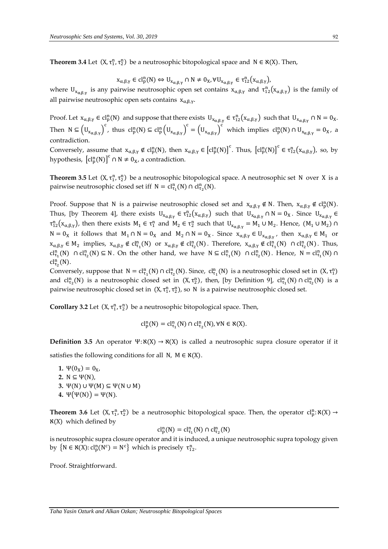**Theorem 3.4** Let  $(X, \tau_1^n, \tau_2^n)$  be a neutrosophic bitopological space and  $N \in \aleph(X)$ . Then,

$$
x_{\alpha,\beta,\gamma} \in cl_p^n(N) \Leftrightarrow U_{x_{\alpha,\beta,\gamma}} \cap N \neq 0_X, \forall U_{x_{\alpha,\beta,\gamma}} \in \tau_{12}^n(x_{\alpha,\beta,\gamma}),
$$

where  $U_{x_{\alpha,\beta,\gamma}}$  is any pairwise neutrosophic open set contains  $x_{\alpha,\beta,\gamma}$  and  $\tau_{12}^n(x_{\alpha,\beta,\gamma})$  is the family of all pairwise neutrosophic open sets contains  $x_{\alpha,\beta,\gamma}$ .

Proof. Let  $x_{\alpha,\beta,\gamma} \in \text{cl}_p^n(N)$  and suppose that there exists  $U_{x_{\alpha,\beta,\gamma}} \in \tau_{12}^n(x_{\alpha,\beta,\gamma})$  such that  $U_{x_{\alpha,\beta,\gamma}} \cap N = 0_X$ . Then  $N \subseteq (U_{x_{\alpha,\beta,\gamma}})^c$ , thus  $cl_p^n(N) \subseteq cl_p^n(U_{x_{\alpha,\beta,\gamma}})^c = (U_{x_{\alpha,\beta,\gamma}})^c$  which implies  $cl_p^n(N) \cap U_{x_{\alpha,\beta,\gamma}} = 0_x$ , a contradiction.

Conversely, assume that  $x_{\alpha,\beta,\gamma} \notin cl_p^n(N)$ , then  $x_{\alpha,\beta,\gamma} \in [cl_p^n(N)]^c$ . Thus,  $[cl_p^n(N)]^c \in \tau_{12}^n(x_{\alpha,\beta,\gamma})$ , so, by hypothesis,  $\left[\text{cl}_{p}^{n}(N)\right]^{c} \cap N \neq 0_{X}$ , a contradiction.

**Theorem 3.5** Let  $(X, \tau_1^n, \tau_2^n)$  be a neutrosophic bitopological space. A neutrosophic set N over X is a pairwise neutrosophic closed set iff  $N = \text{cl}_{\tau_1}^n(N) \cap \text{cl}_{\tau_2}^n(N)$ .

Proof. Suppose that N is a pairwise neutrosophic closed set and  $x_{\alpha,\beta,\gamma} \notin N$ . Then,  $x_{\alpha,\beta,\gamma} \notin cl_p^n(N)$ . Thus, [by Theorem 4], there exists  $U_{x_{\alpha,\beta,\gamma}} \in \tau_{12}^n(x_{\alpha,\beta,\gamma})$  such that  $U_{x_{\alpha,\beta,\gamma}} \cap N = 0_X$ . Since  $U_{x_{\alpha,\beta,\gamma}} \in$  $\tau_{12}^n(x_{\alpha,\beta,\gamma})$ , then there exists  $M_1 \in \tau_1^n$  and  $M_2 \in \tau_2^n$  such that  $U_{x_{\alpha,\beta,\gamma}} = M_1 \cup M_2$ . Hence,  $(M_1 \cup M_2) \cap$  $N = 0_X$  it follows that  $M_1 \cap N = 0_X$  and  $M_2 \cap N = 0_X$ . Since  $x_{\alpha,\beta,\gamma} \in U_{x_{\alpha,\beta,\gamma}}$ , then  $x_{\alpha,\beta,\gamma} \in M_1$  or  $x_{\alpha,\beta,\gamma} \in M_2$  implies,  $x_{\alpha,\beta,\gamma} \notin \text{cl}_{\tau_1}^n(N)$  or  $x_{\alpha,\beta,\gamma} \notin \text{cl}_{\tau_2}^n(N)$ . Therefore,  $x_{\alpha,\beta,\gamma} \notin \text{cl}_{\tau_1}^n(N)$   $\cap \text{cl}_{\tau_2}^n(N)$ . Thus, cl<sup>n</sup><sub>1</sub>(N)  $\cap$  cl<sup>n</sup><sub>1</sub>(N)  $\subseteq$  N. On the other hand, we have  $N \subseteq cl^{\text{n}}_{\tau_1}(N)$   $\cap cl^{\text{n}}_{\tau_2}(N)$ . Hence,  $N = cl^{\text{n}}_{\tau_1}(N)$   $\cap$  $\text{cl}_{\tau_2}^{\text{n}}(\text{N}).$ 

Conversely, suppose that  $N = cl_{\tau_1}^n(N) \cap cl_{\tau_2}^n(N)$ . Since,  $cl_{\tau_1}^n(N)$  is a neutrosophic closed set in  $(X, \tau_1^n)$ and  $cl_{\tau_2}^n(N)$  is a neutrosophic closed set in  $(X, \tau_2^n)$ , then, [by Definition 9],  $cl_{\tau_1}^n(N) \cap cl_{\tau_2}^n(N)$  is a pairwise neutrosophic closed set in  $(X, \tau_1^n, \tau_2^n)$ , so N is a pairwise neutrosophic closed set.

**Corollary 3.2** Let  $(X, \tau_1^n, \tau_2^n)$  be a neutrosophic bitopological space. Then,

$$
cl_p^n(N) = cl_{\tau_1}^n(N) \cap cl_{\tau_2}^n(N), \forall N \in \aleph(X).
$$

**Definition 3.5** An operator  $\Psi$ :  $\mathbf{X}(X) \to \mathbf{X}(X)$  is called a neutrosophic supra closure operator if it satisfies the following conditions for all N,  $M \in \mathcal{X}(X)$ .

**1.**  $\Psi(0_X) = 0_X$  **2.** N ⊆ Ψ(N), **3.** Ψ(N) ∪ Ψ(M) ⊆ Ψ(N ∪ M) **4.**  $Ψ(Ψ(N)) = Ψ(N)$ .

**Theorem 3.6** Let  $(X, \tau_1^n, \tau_2^n)$  be a neutrosophic bitopological space. Then, the operator  $cl_p^n: \aleph(X) \rightarrow$  $x(X)$  which defined by

$$
cl_p^n(N) = cl_{\tau_1}^n(N) \cap cl_{\tau_2}^n(N)
$$

is neutrosophic supra closure operator and it is induced, a unique neutrosophic supra topology given by  $\{N \in \mathcal{R}(X) : cl_p^n(N^c) = N^c\}$  which is precisely  $\tau_{12}^n$ .

Proof. Straightforward.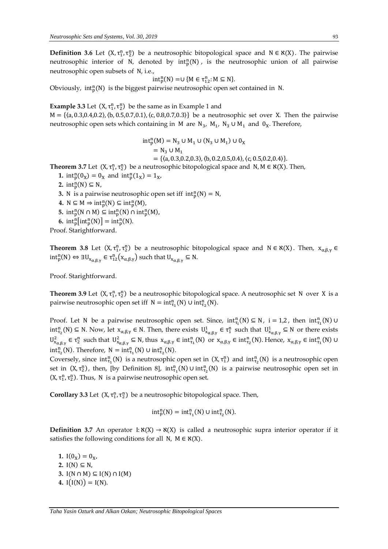**Definition 3.6** Let  $(X, \tau_1^n, \tau_2^n)$  be a neutrosophic bitopological space and  $N \in \mathcal{X}(X)$ . The pairwise neutrosophic interior of N, denoted by  $int_{p}^{n}(N)$ , is the neutrosophic union of all pairwise neutrosophic open subsets of N, i.e.,

$$
int_{p}^{n}(N) = \cup \{M \in \tau_{12}^{n}: M \subseteq N\}.
$$

Obviously,  $int_{p}^{n}(N)$  is the biggest pairwise neutrosophic open set contained in N.

**Example 3.3** Let  $(X, \tau_1^n, \tau_2^n)$  be the same as in Example 1 and M = {⟨a, 0.3,0.4,0.2⟩,⟨b, 0.5,0.7,0.1⟩,⟨c, 0.8,0.7,0.3⟩} be a neutrosophic set over X. Then the pairwise neutrosophic open sets which containing in M are  $N_3$ ,  $M_1$ ,  $N_3 \cup M_1$  and  $0_X$ . Therefore,

int<sup>p</sup> n (M) = N<sup>3</sup> ∪ M<sup>1</sup> ∪ (N<sup>3</sup> ∪ M<sup>1</sup> ) ∪ 0<sup>X</sup> = N<sup>3</sup> ∪ M<sup>1</sup> = {⟨a, 0.3,0.2,0.3⟩,⟨b, 0.2,0.5,0.4⟩,⟨c, 0.5,0.2,0.4⟩}.

**Theorem 3.7** Let  $(X, \tau_1^n, \tau_2^n)$  be a neutrosophic bitopological space and  $N, M \in \mathcal{X}(X)$ . Then,

- **1.**  $int_{p}^{n}(0_{X}) = 0_{X}$  and  $int_{p}^{n}(1_{X}) = 1_{X}$ ,
- **2.** int<sub>p</sub><sup>n</sup>(N)  $\subseteq$  N,
- **3.** N is a pairwise neutrosophic open set iff  $int_{p}^{n}(N) = N$ ,
- 4.  $N \subseteq M \Rightarrow \text{int}_p^n(N) \subseteq \text{int}_p^n(M)$ ,
- **5.**  $int_{p}^{n}(N \cap M) \subseteq int_{p}^{n}(N) \cap int_{p}^{n}(M)$ ,
- **6.**  $int_{p}^{n} [int_{p}^{n}(N)] = int_{p}^{n}(N)$ .
- Proof. Starightforward.

**Theorem 3.8** Let  $(X, \tau_1^n, \tau_2^n)$  be a neutrosophic bitopological space and  $N \in \aleph(X)$ . Then,  $x_{\alpha,\beta,\gamma} \in$  $int_{p}^{n}(N) \Leftrightarrow \exists U_{x_{\alpha,\beta,\gamma}} \in \tau_{12}^{n}(x_{\alpha,\beta,\gamma})$  such that  $U_{x_{\alpha,\beta,\gamma}} \subseteq N$ .

Proof. Starightforward.

**Theorem 3.9** Let (X, τ<sup>n</sup><sub>1</sub>, τ<sup>n</sup><sub>2</sub>) be a neutrosophic bitopological space. A neutrosophic set N over X is a pairwise neutrosophic open set iff  $N = int_{\tau_1}^n(N) \cup int_{\tau_2}^n(N)$ .

Proof. Let N be a pairwise neutrosophic open set. Since,  $int_{\tau_i}^n(N) \subseteq N$ ,  $i = 1,2$ , then  $int_{\tau_1}^n(N) \cup$  $int_{\tau_2}^n(N) \subseteq N$ . Now, let  $x_{\alpha,\beta,\gamma} \in N$ . Then, there exists  $U^1_{x_{\alpha,\beta,\gamma}} \in \tau_1^n$  such that  $U^1_{x_{\alpha,\beta,\gamma}} \subseteq N$  or there exists  $U^2_{x_{\alpha,\beta,\gamma}} \in \tau_2^n$  such that  $U^2_{x_{\alpha,\beta,\gamma}} \subseteq N$ , thus  $x_{\alpha,\beta,\gamma} \in \text{int}_{\tau_1}^n(N)$  or  $x_{\alpha,\beta,\gamma} \in \text{int}_{\tau_2}^n(N)$ . Hence,  $x_{\alpha,\beta,\gamma} \in \text{int}_{\tau_1}^n(N)$  U  $int_{\tau_2}^n(N)$ . Therefore,  $N = int_{\tau_1}^n(N) \cup int_{\tau_2}^n(N)$ .

Coversely, since  $int_{\tau_1}^n(N)$  is a neutrosophic open set in  $(X, \tau_1^n)$  and  $int_{\tau_2}^n(N)$  is a neutrosophic open set in  $(X, \tau_2^n)$ , then, [by Definition 8],  $int_{\tau_1}^n(N) \cup int_{\tau_2}^n(N)$  is a pairwise neutrosophic open set in  $(X, \tau_1^n, \tau_2^n)$ . Thus, N is a pairwise neutrosophic open set.

**Corollary 3.3** Let  $(X, \tau_1^n, \tau_2^n)$  be a neutrosophic bitopological space. Then,

$$
\mathrm{int}_p^n(N) = \mathrm{int}_{\tau_1}^n(N) \cup \mathrm{int}_{\tau_2}^n(N).
$$

**Definition 3.7** An operator I:  $\aleph(X) \rightarrow \aleph(X)$  is called a neutrosophic supra interior operator if it satisfies the following conditions for all N,  $M \in \mathcal{R}(X)$ .

**1.**  $I(0_X) = 0_X$ , 2.  $I(N) \subseteq N$ , **3.** I(N ∩ M) ⊆ I(N) ∩ I(M) **4.**  $I(I(N)) = I(N)$ .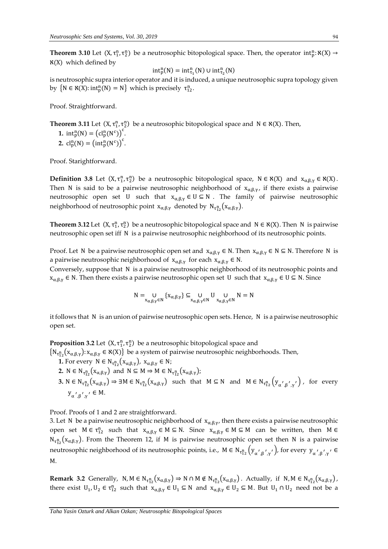**Theorem 3.10** Let  $(X, \tau_1^n, \tau_2^n)$  be a neutrosophic bitopological space. Then, the operator  $int_p^n : \aleph(X) \to$  $x(X)$  which defined by

$$
\mathrm{int}^n_p(N) = \mathrm{int}^n_{\tau_1}(N) \cup \mathrm{int}^n_{\tau_2}(N)
$$

is neutrosophic supra interior operator and it is induced, a unique neutrosophic supra topology given by  $\{N \in \mathcal{N}(X) : \text{int}_p^n(N) = N\}$  which is precisely  $\tau_{12}^n$ .

Proof. Straightforward.

**Theorem 3.11** Let  $(X, \tau_1^n, \tau_2^n)$  be a neutrosophic bitopological space and  $N \in \aleph(X)$ . Then, **1.**  $int_{p}^{n}(N) = (cl_{p}^{n}(N^{c}))^{c}$ . 2.  $cl_p^n(N) = (int_p^n(N^c))^c$ .

Proof. Starightforward.

**Definition 3.8** Let  $(X, \tau_1^n, \tau_2^n)$  be a neutrosophic bitopological space,  $N \in \aleph(X)$  and  $x_{\alpha,\beta,\gamma} \in \aleph(X)$ . Then N is said to be a pairwise neutrosophic neighborhood of  $x_{\alpha,\beta,\gamma}$ , if there exists a pairwise neutrosophic open set U such that  $x_{\alpha,\beta,\gamma} \in U \subseteq N$ . The family of pairwise neutrosophic neighborhood of neutrosophic point  $x_{\alpha,\beta,\gamma}$  denoted by  $N_{\tau^n_{12}}(x_{\alpha,\beta,\gamma})$ .

**Theorem 3.12** Let  $(X, \tau_1^n, \tau_2^n)$  be a neutrosophic bitopological space and  $N \in \aleph(X)$ . Then N is pairwise neutrosophic open set iff N is a pairwise neutrosophic neighborhood of its neutrosophic points.

Proof. Let N be a pairwise neutrosophic open set and  $x_{\alpha,\beta,\gamma} \in N$ . Then  $x_{\alpha,\beta,\gamma} \in N \subseteq N$ . Therefore N is a pairwise neutrosophic neighborhood of  $x_{\alpha,\beta,\gamma}$  for each  $x_{\alpha,\beta,\gamma} \in N$ .

Conversely, suppose that N is a pairwise neutrosophic neighborhood of its neutrosophic points and  $x_{\alpha,\beta,\gamma} \in N$ . Then there exists a pairwise neutrosophic open set U such that  $x_{\alpha,\beta,\gamma} \in U \subseteq N$ . Since

$$
N=\underset{x_{\alpha,\beta,\gamma}\in N}{\text{U}}\left\{x_{\alpha,\beta,\gamma}\right\}\subseteq \underset{x_{\alpha,\beta,\gamma}\in N}{\text{U}}\underset{x_{\alpha,\beta,\gamma}\in N}{\text{U}}\text{U}\underset{x_{\alpha,\beta,\gamma}\in N}{\text{U}}\text{N}=\text{N}
$$

it follows that N is an union of pairwise neutrosophic open sets. Hence, N is a pairwise neutrosophic open set.

**Proposition 3.2** Let  $(X, \tau_1^n, \tau_2^n)$  be a neutrosophic bitopological space and  $\{N_{\tau_{12}^n}(x_{\alpha,\beta,\gamma}) : x_{\alpha,\beta,\gamma} \in \mathfrak{K}(X)\}$  be a system of pairwise neutrosophic neighborhoods. Then,

- **1.** For every  $N \in N_{\tau_{12}^n}(X_{\alpha,\beta,\gamma}), X_{\alpha,\beta,\gamma} \in N;$
- **2.**  $N \in N_{\tau_{12}^n}(X_{\alpha,\beta,\gamma})$  and  $N \subseteq M \Rightarrow M \in N_{\tau_{12}^n}(X_{\alpha,\beta,\gamma});$
- **3.** N  $\in$  N<sub>τ<sup>n</sup><sub>12</sub></sub>( $X_{\alpha,\beta,\gamma}$ )  $\Rightarrow$  ∃M  $\in$  N<sub>τ<sup>n</sup><sub>12</sub></sub>( $X_{\alpha,\beta,\gamma}$ ) such that M  $\subseteq$  N and M  $\in$  N<sub>τn</sub><sub>12</sub> ( $Y_{\alpha',\beta',\gamma'}$ ), for every  $y_{\alpha',\beta',\gamma'} \in M$ .

Proof. Proofs of 1 and 2 are straightforward.

3. Let N be a pairwise neutrosophic neighborhood of  $x_{\alpha,\beta,\gamma}$ , then there exists a pairwise neutrosophic open set  $M \in \tau_{12}^n$  such that  $x_{\alpha,\beta,\gamma} \in M \subseteq N$ . Since  $x_{\alpha,\beta,\gamma} \in M \subseteq M$  can be written, then  $M \in$  $N_{\tau_{12}^n}(x_{\alpha,\beta,\gamma})$ . From the Theorem 12, if M is pairwise neutrosophic open set then N is a pairwise neutrosophic neighborhood of its neutrosophic points, i.e.,  $M\in N_{\tau_{12}^{\rm n}}\big(y_{\alpha',\beta',\gamma'}\big)$ , for every  $y_{\alpha',\beta',\gamma'}\in$ M.

**Remark 3.2** Generally,  $N, M \in N_{\tau_{12}^n}(X_{\alpha,\beta,\gamma}) \Rightarrow N \cap M \notin N_{\tau_{12}^n}(X_{\alpha,\beta,\gamma})$ . Actually, if  $N, M \in N_{\tau_{12}^n}(X_{\alpha,\beta,\gamma})$ , there exist  $U_1, U_2 \in \tau_{12}^n$  such that  $x_{\alpha,\beta,\gamma} \in U_1 \subseteq N$  and  $x_{\alpha,\beta,\gamma} \in U_2 \subseteq M$ . But  $U_1 \cap U_2$  need not be a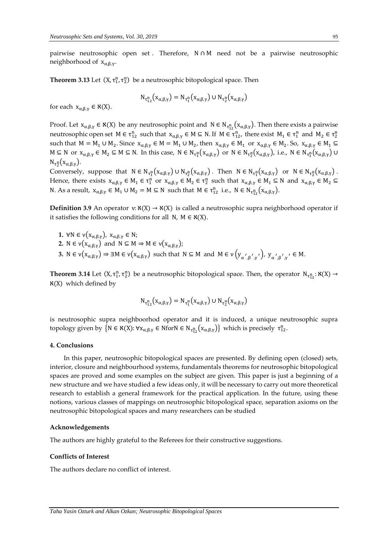pairwise neutrosophic open set . Therefore, N ∩ M need not be a pairwise neutrosophic neighborhood of  $x_{\alpha,\beta,\gamma}$ .

**Theorem 3.13** Let  $(X, \tau_1^n, \tau_2^n)$  be a neutrosophic bitopological space. Then

$$
N_{\tau_{12}^n}(x_{\alpha,\beta,\gamma}) = N_{\tau_1^n}(x_{\alpha,\beta,\gamma}) \cup N_{\tau_2^n}(x_{\alpha,\beta,\gamma})
$$

for each  $x_{\alpha,\beta,\gamma} \in \aleph(X)$ .

Proof. Let  $x_{\alpha,\beta,\gamma} \in \aleph(X)$  be any neutrosophic point and  $N \in N_{\tau_{12}^n}(x_{\alpha,\beta,\gamma})$ . Then there exists a pairwise neutrosophic open set  $M \in \tau_{12}^n$  such that  $x_{\alpha,\beta,\gamma} \in M \subseteq N$ . If  $M \in \tau_{12}^n$ , there exist  $M_1 \in \tau_1^n$  and  $M_2 \in \tau_2^n$ such that  $M = M_1 \cup M_2$ . Since  $x_{\alpha,\beta,\gamma} \in M = M_1 \cup M_2$ , then  $x_{\alpha,\beta,\gamma} \in M_1$  or  $x_{\alpha,\beta,\gamma} \in M_2$ . So,  $x_{\alpha,\beta,\gamma} \in M_1 \subseteq M_2$  $M \subseteq N$  or  $x_{\alpha,\beta,\gamma} \in M_2 \subseteq M \subseteq N$ . In this case,  $N \in N_{\tau_1^n}(x_{\alpha,\beta,\gamma})$  or  $N \in N_{\tau_2^n}(x_{\alpha,\beta,\gamma})$ , i.e.,  $N \in N_{\tau_1^n}(x_{\alpha,\beta,\gamma})$   $\cup$  $N_{\tau_2^n}(x_{\alpha,\beta,\gamma}).$ 

Conversely, suppose that  $N \in N_{\tau_1^n}(x_{\alpha,\beta,\gamma}) \cup N_{\tau_2^n}(x_{\alpha,\beta,\gamma})$ . Then  $N \in N_{\tau_1^n}(x_{\alpha,\beta,\gamma})$  or  $N \in N_{\tau_2^n}(x_{\alpha,\beta,\gamma})$ . Hence, there exists  $x_{\alpha,\beta,\gamma} \in M_1 \in \tau_1^n$  or  $x_{\alpha,\beta,\gamma} \in M_2 \in \tau_2^n$  such that  $x_{\alpha,\beta,\gamma} \in M_1 \subseteq N$  and  $x_{\alpha,\beta,\gamma} \in M_2 \subseteq N$ N. As a result,  $x_{\alpha,\beta,\gamma} \in M_1 \cup M_2 = M \subseteq N$  such that  $M \in \tau_{12}^n$  i.e.,  $N \in N_{\tau_{12}^n}(x_{\alpha,\beta,\gamma})$ .

**Definition 3.9** An operator  $v: \aleph(X) \to \aleph(X)$  is called a neutrosophic supra neighborhood operator if it satisfies the following conditions for all N,  $M \in \mathcal{N}(X)$ .

**1.**  $\forall N \in \nu(x_{\alpha,\beta,\gamma}), x_{\alpha,\beta,\gamma} \in N;$ **2.** N ∈  $\nu(x_{\alpha,\beta,\gamma})$  and N ⊆ M  $\Rightarrow$  M ∈  $\nu(x_{\alpha,\beta,\gamma})$ ; **3.**  $N \in \nu(x_{\alpha,\beta,\gamma}) \Rightarrow \exists M \in \nu(x_{\alpha,\beta,\gamma})$  such that  $N \subseteq M$  and  $M \in \nu(y_{\alpha',\beta',\gamma'})$ ,  $y_{\alpha',\beta',\gamma'} \in M$ .

**Theorem 3.14** Let  $(X, \tau_1^n, \tau_2^n)$  be a neutrosophic bitopological space. Then, the operator  $N_{\tau_{12}^n} : \aleph(X) \to$ ℵ(X) which defined by

$$
N_{\tau_{12}^n}(x_{\alpha,\beta,\gamma}) = N_{\tau_1^n}(x_{\alpha,\beta,\gamma}) \cup N_{\tau_2^n}(x_{\alpha,\beta,\gamma})
$$

is neutrosophic supra neighboorhod operator and it is induced, a unique neutrosophic supra topology given by  $\{N \in \aleph(X) : \forall x_{\alpha,\beta,\gamma} \in \text{Nfor} N \in N_{\tau_{12}^n}(x_{\alpha,\beta,\gamma})\}$  which is precisely  $\tau_{12}^n$ .

#### **4. Conclusions**

In this paper, neutrosophic bitopological spaces are presented. By defining open (closed) sets, interior, closure and neighbourhood systems, fundamentals theorems for neutrosophic bitopological spaces are proved and some examples on the subject are given. This paper is just a beginning of a new structure and we have studied a few ideas only, it will be necessary to carry out more theoretical research to establish a general framework for the practical application. In the future, using these notions, various classes of mappings on neutrosophic bitopological space, separation axioms on the neutrosophic bitopological spaces and many researchers can be studied

#### **Acknowledgements**

The authors are highly grateful to the Referees for their constructive suggestions.

#### **Conflicts of Interest**

The authors declare no conflict of interest.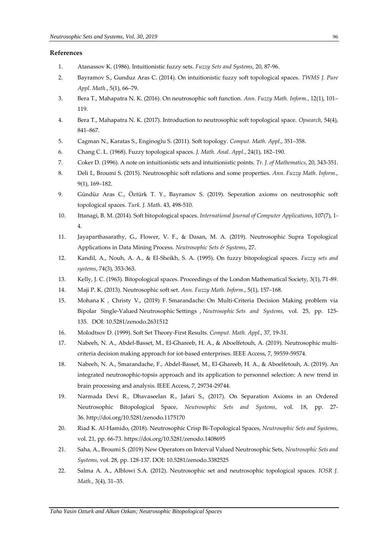## **References**

- 1. Atanassov K. (1986). Intuitionistic fuzzy sets. *Fuzzy Sets and Systems*, 20, 87-96.
- 2. Bayramov S., Gunduz Aras C. (2014). On intuitionistic fuzzy soft topological spaces. *TWMS J. Pure Appl. Math.*, 5(1), 66–79.
- 3. Bera T., Mahapatra N. K. (2016). On neutrosophic soft function. *Ann. Fuzzy Math. Inform.*, 12(1), 101– 119.
- 4. Bera T., Mahapatra N. K. (2017). Introduction to neutrosophic soft topological space. *Opsearch*, 54(4), 841–867.
- 5. Cagman N., Karatas S., Enginoglu S. (2011). Soft topology. *Comput. Math. Appl*., 351–358.
- 6. Chang C. L. (1968). Fuzzy topological spaces. *J. Math. Anal. Appl*., 24(1), 182–190.
- 7. Coker D. (1996). A note on intuitionistic sets and intuitionistic points. *Tr. J. of Mathematics*, 20, 343-351.
- 8. Deli I., Broumi S. (2015). Neutrosophic soft relations and some properties. *Ann. Fuzzy Math. Inform*., 9(1), 169–182.
- 9. Gündüz Aras C., Öztürk T. Y., Bayramov S. (2019). Seperation axioms on neutrosophic soft topological spaces. *Turk. J. Math*. 43, 498-510.
- 10. Ittanagi, B. M. (2014). Soft bitopological spaces. *International Journal of Computer Applications*, 107(7), 1- 4.
- 11. Jayaparthasarathy, G., Flower, V. F., & Dasan, M. A. (2019). Neutrosophic Supra Topological Applications in Data Mining Process. *Neutrosophic Sets & Systems*, 27.
- 12. Kandil, A., Nouh, A. A., & El-Sheikh, S. A. (1995). On fuzzy bitopological spaces. *Fuzzy sets and systems*, 74(3), 353-363.
- 13. Kelly, J. C. (1963). Bitopological spaces. Proceedings of the London Mathematical Society, 3(1), 71-89.
- 14. Maji P. K. (2013). Neutrosophic soft set. *Ann. Fuzzy Math. Inform*., 5(1), 157–168.
- 15. Mohana K , Christy V., (2019) F. Smarandache: [On Multi-Criteria Decision Making problem via](http://fs.unm.edu/NSS/OnMultiCriteriaDecisionMaking.pdf)  [Bipolar Single-Valued](http://fs.unm.edu/NSS/OnMultiCriteriaDecisionMaking.pdf) Neutrosophic Settings , *Neutrosophic Sets and Systems*, vol. 25, pp. 125- 135. DOI: [10.5281/zenodo.2631512](https://zenodo.org/record/2631512#.XKkqC6SxXIU)
- 16. Molodtsov D. (1999). Soft Set Theory-First Results. *Comput. Math. Appl*., 37, 19-31.
- 17. Nabeeh, N. A., Abdel-Basset, M., El-Ghareeb, H. A., & Aboelfetouh, A. (2019). Neutrosophic multicriteria decision making approach for iot-based enterprises. IEEE Access, 7, 59559-59574.
- 18. Nabeeh, N. A., Smarandache, F., Abdel-Basset, M., El-Ghareeb, H. A., & Aboelfetouh, A. (2019). An integrated neutrosophic-topsis approach and its application to personnel selection: A new trend in brain processing and analysis. IEEE Access, 7, 29734-29744.
- 19. Narmada Devi R., Dhavaseelan R., Jafari S., (2017). [On Separation Axioms in an Ordered](http://fs.unm.edu/NSS/OnSeparationAxioms.pdf)  [Neutrosophic Bitopological Space,](http://fs.unm.edu/NSS/OnSeparationAxioms.pdf) *Neutrosophic Sets and Systems*, vol. 18, pp. 27- 36. <http://doi.org/10.5281/zenodo.1175170>
- 20. Riad K. Al-Hamido, (2018). [Neutrosophic Crisp Bi-Topological Spaces,](http://fs.unm.edu/NSS/NeutrosophicCrispBiTopologicalSpaces.pdf) *Neutrosophic Sets and Systems*, vol. 21, pp. 66-73. <https://doi.org/10.5281/zenodo.1408695>
- 21. Saha, A., Broumi S. (2019) [New Operators on Interval Valued Neutrosophic Sets,](http://fs.unm.edu/NSS/NewOperatorsonIntervalValuedNeutrosophic.pdf) *Neutrosophic Sets and Systems,* vol. 28, pp. 128-137. DOI: [10.5281/zenodo.3382525](https://zenodo.org/record/3382525#.XWpCDnuxXIU)
- 22. Salma A. A., Alblowi S.A. (2012). Neutrosophic set and neutrosophic topological spaces. *IOSR J. Math.*, 3(4), 31–35.